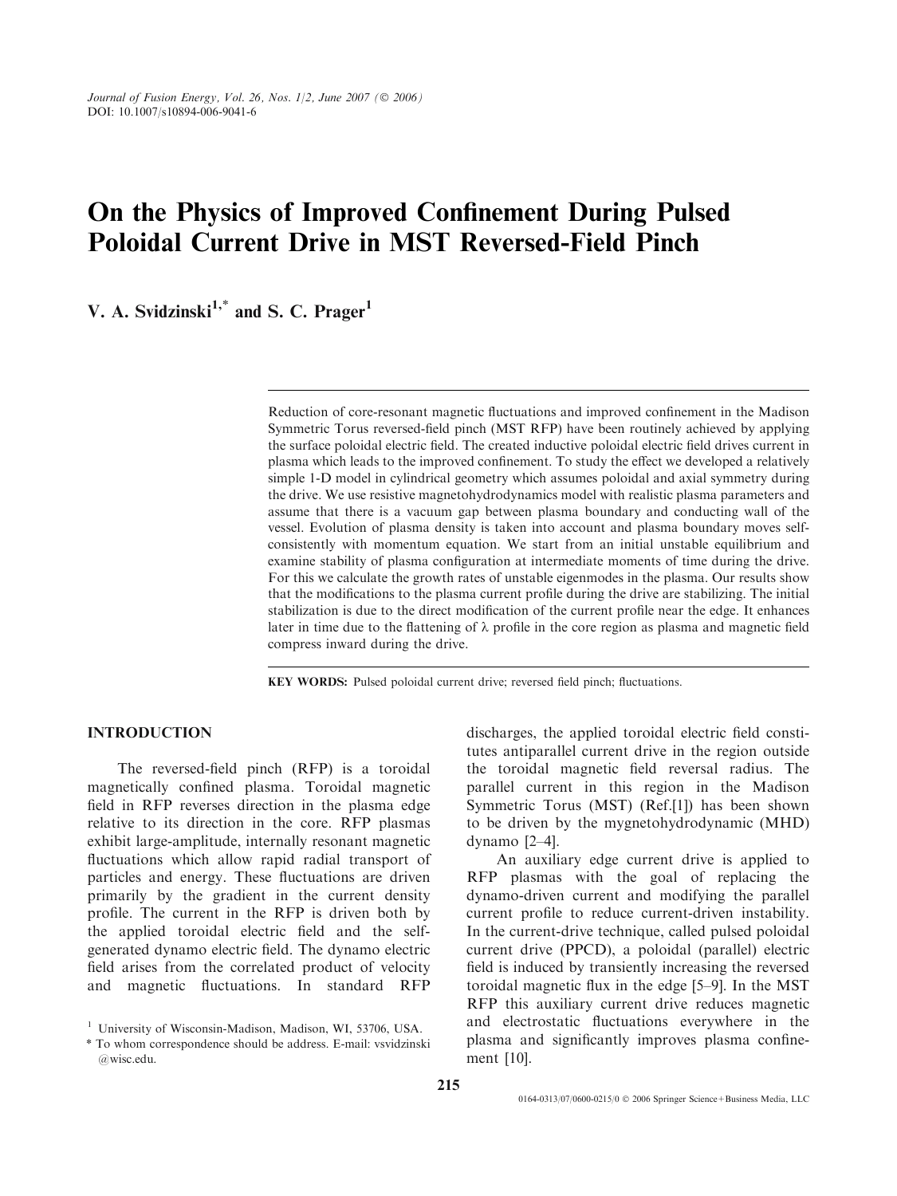# On the Physics of Improved Confinement During Pulsed Poloidal Current Drive in MST Reversed-Field Pinch

V. A. Svidzinski $1,^*$  and S. C. Prager<sup>1</sup>

Reduction of core-resonant magnetic fluctuations and improved confinement in the Madison Symmetric Torus reversed-field pinch (MST RFP) have been routinely achieved by applying the surface poloidal electric field. The created inductive poloidal electric field drives current in plasma which leads to the improved confinement. To study the effect we developed a relatively simple 1-D model in cylindrical geometry which assumes poloidal and axial symmetry during the drive. We use resistive magnetohydrodynamics model with realistic plasma parameters and assume that there is a vacuum gap between plasma boundary and conducting wall of the vessel. Evolution of plasma density is taken into account and plasma boundary moves selfconsistently with momentum equation. We start from an initial unstable equilibrium and examine stability of plasma configuration at intermediate moments of time during the drive. For this we calculate the growth rates of unstable eigenmodes in the plasma. Our results show that the modifications to the plasma current profile during the drive are stabilizing. The initial stabilization is due to the direct modification of the current profile near the edge. It enhances later in time due to the flattening of  $\lambda$  profile in the core region as plasma and magnetic field compress inward during the drive.

KEY WORDS: Pulsed poloidal current drive; reversed field pinch; fluctuations.

# INTRODUCTION

The reversed-field pinch (RFP) is a toroidal magnetically confined plasma. Toroidal magnetic field in RFP reverses direction in the plasma edge relative to its direction in the core. RFP plasmas exhibit large-amplitude, internally resonant magnetic fluctuations which allow rapid radial transport of particles and energy. These fluctuations are driven primarily by the gradient in the current density profile. The current in the RFP is driven both by the applied toroidal electric field and the selfgenerated dynamo electric field. The dynamo electric field arises from the correlated product of velocity and magnetic fluctuations. In standard RFP

discharges, the applied toroidal electric field constitutes antiparallel current drive in the region outside the toroidal magnetic field reversal radius. The parallel current in this region in the Madison Symmetric Torus (MST) (Ref.[1]) has been shown to be driven by the mygnetohydrodynamic (MHD) dynamo [2–4].

An auxiliary edge current drive is applied to RFP plasmas with the goal of replacing the dynamo-driven current and modifying the parallel current profile to reduce current-driven instability. In the current-drive technique, called pulsed poloidal current drive (PPCD), a poloidal (parallel) electric field is induced by transiently increasing the reversed toroidal magnetic flux in the edge [5–9]. In the MST RFP this auxiliary current drive reduces magnetic and electrostatic fluctuations everywhere in the plasma and significantly improves plasma confinement [10].

<sup>&</sup>lt;sup>1</sup> University of Wisconsin-Madison, Madison, WI, 53706, USA.

<sup>\*</sup> To whom correspondence should be address. E-mail: vsvidzinski @wisc.edu.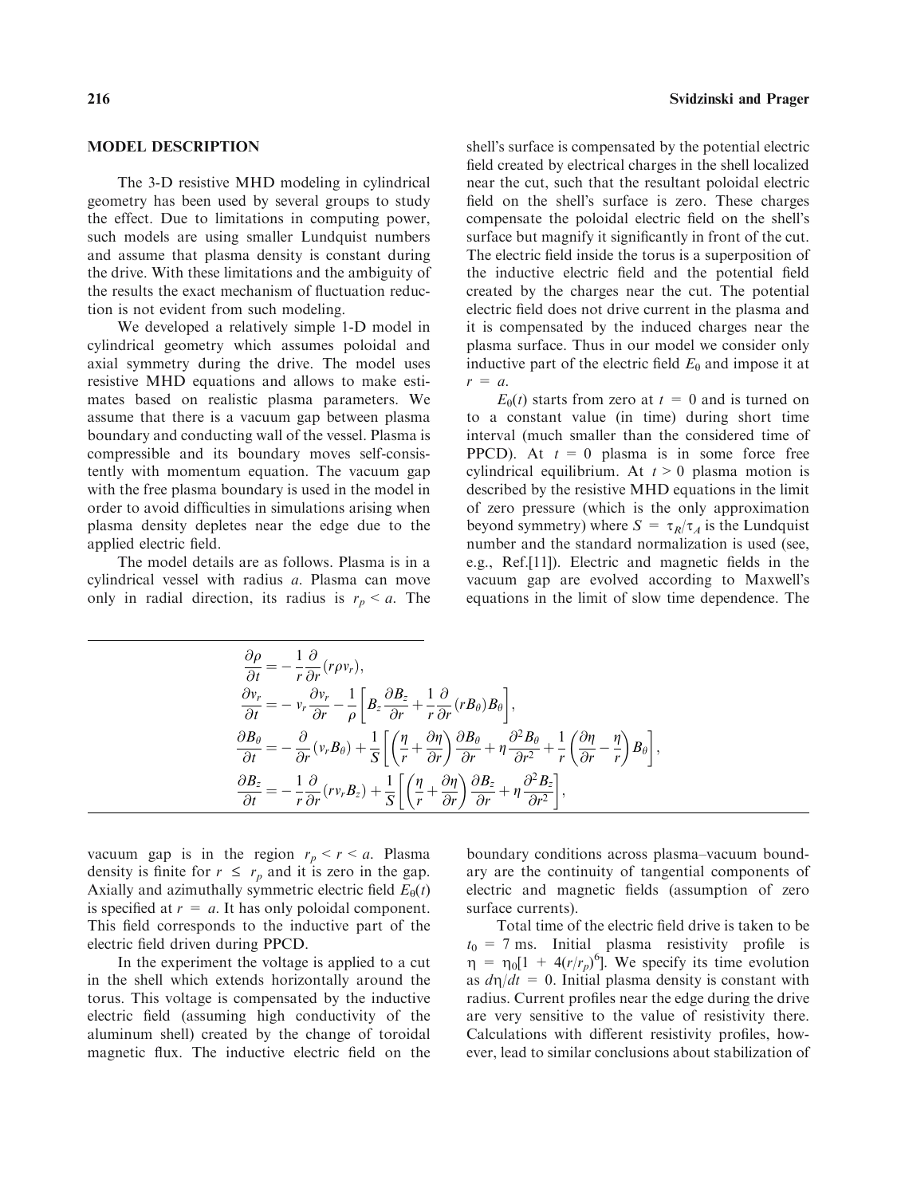#### MODEL DESCRIPTION

The 3-D resistive MHD modeling in cylindrical geometry has been used by several groups to study the effect. Due to limitations in computing power, such models are using smaller Lundquist numbers and assume that plasma density is constant during the drive. With these limitations and the ambiguity of the results the exact mechanism of fluctuation reduction is not evident from such modeling.

We developed a relatively simple 1-D model in cylindrical geometry which assumes poloidal and axial symmetry during the drive. The model uses resistive MHD equations and allows to make estimates based on realistic plasma parameters. We assume that there is a vacuum gap between plasma boundary and conducting wall of the vessel. Plasma is compressible and its boundary moves self-consistently with momentum equation. The vacuum gap with the free plasma boundary is used in the model in order to avoid difficulties in simulations arising when plasma density depletes near the edge due to the applied electric field.

The model details are as follows. Plasma is in a cylindrical vessel with radius a. Plasma can move only in radial direction, its radius is  $r_p < a$ . The shell's surface is compensated by the potential electric field created by electrical charges in the shell localized near the cut, such that the resultant poloidal electric field on the shell's surface is zero. These charges compensate the poloidal electric field on the shell's surface but magnify it significantly in front of the cut. The electric field inside the torus is a superposition of the inductive electric field and the potential field created by the charges near the cut. The potential electric field does not drive current in the plasma and it is compensated by the induced charges near the plasma surface. Thus in our model we consider only inductive part of the electric field  $E_{\theta}$  and impose it at  $r = a$ .

 $E_{\theta}(t)$  starts from zero at  $t = 0$  and is turned on to a constant value (in time) during short time interval (much smaller than the considered time of PPCD). At  $t = 0$  plasma is in some force free cylindrical equilibrium. At  $t > 0$  plasma motion is described by the resistive MHD equations in the limit of zero pressure (which is the only approximation beyond symmetry) where  $S = \tau_R/\tau_A$  is the Lundquist number and the standard normalization is used (see, e.g., Ref.[11]). Electric and magnetic fields in the vacuum gap are evolved according to Maxwell's equations in the limit of slow time dependence. The

$$
\begin{split}\n\frac{\partial \rho}{\partial t} &= -\frac{1}{r} \frac{\partial}{\partial r} (r \rho v_r), \\
\frac{\partial v_r}{\partial t} &= -v_r \frac{\partial v_r}{\partial r} - \frac{1}{\rho} \left[ B_z \frac{\partial B_z}{\partial r} + \frac{1}{r} \frac{\partial}{\partial r} (r B_\theta) B_\theta \right], \\
\frac{\partial B_\theta}{\partial t} &= -\frac{\partial}{\partial r} (v_r B_\theta) + \frac{1}{S} \left[ \left( \frac{\eta}{r} + \frac{\partial \eta}{\partial r} \right) \frac{\partial B_\theta}{\partial r} + \eta \frac{\partial^2 B_\theta}{\partial r^2} + \frac{1}{r} \left( \frac{\partial \eta}{\partial r} - \frac{\eta}{r} \right) B_\theta \right], \\
\frac{\partial B_z}{\partial t} &= -\frac{1}{r} \frac{\partial}{\partial r} (r v_r B_z) + \frac{1}{S} \left[ \left( \frac{\eta}{r} + \frac{\partial \eta}{\partial r} \right) \frac{\partial B_z}{\partial r} + \eta \frac{\partial^2 B_z}{\partial r^2} \right],\n\end{split}
$$

vacuum gap is in the region  $r_p < r < a$ . Plasma density is finite for  $r \leq r_p$  and it is zero in the gap. Axially and azimuthally symmetric electric field  $E_{\theta}(t)$ is specified at  $r = a$ . It has only poloidal component. This field corresponds to the inductive part of the electric field driven during PPCD.

In the experiment the voltage is applied to a cut in the shell which extends horizontally around the torus. This voltage is compensated by the inductive electric field (assuming high conductivity of the aluminum shell) created by the change of toroidal magnetic flux. The inductive electric field on the boundary conditions across plasma–vacuum boundary are the continuity of tangential components of electric and magnetic fields (assumption of zero surface currents).

Total time of the electric field drive is taken to be  $t_0$  = 7 ms. Initial plasma resistivity profile is  $\eta = \eta_0[1 + 4(r/r_p)^6]$ . We specify its time evolution as  $d\eta/dt = 0$ . Initial plasma density is constant with radius. Current profiles near the edge during the drive are very sensitive to the value of resistivity there. Calculations with different resistivity profiles, however, lead to similar conclusions about stabilization of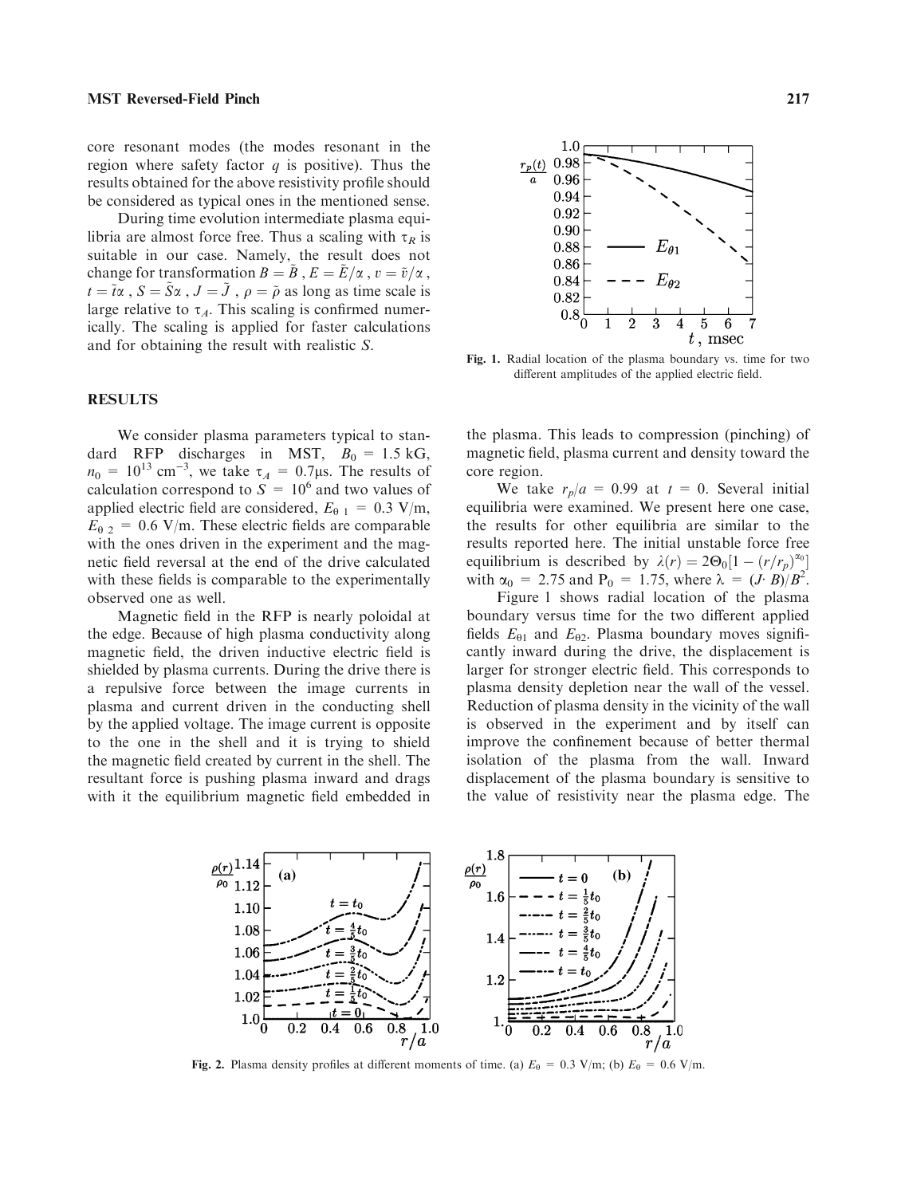core resonant modes (the modes resonant in the region where safety factor  $q$  is positive). Thus the results obtained for the above resistivity profile should be considered as typical ones in the mentioned sense.

During time evolution intermediate plasma equilibria are almost force free. Thus a scaling with  $\tau_R$  is suitable in our case. Namely, the result does not change for transformation  $B = \tilde{B}$ ,  $E = \tilde{E}/\alpha$ ,  $v = \tilde{v}/\alpha$ ,  $t = \tilde{t}\alpha$ ,  $S = \tilde{S}\alpha$ ,  $J = \tilde{J}$ ,  $\rho = \tilde{\rho}$  as long as time scale is large relative to  $\tau_A$ . This scaling is confirmed numerically. The scaling is applied for faster calculations and for obtaining the result with realistic S.

### RESULTS

We consider plasma parameters typical to standard RFP discharges in MST,  $B_0 = 1.5$  kG,  $n_0 = 10^{13}$  cm<sup>-3</sup>, we take  $\tau_A = 0.7 \mu$ s. The results of calculation correspond to  $S = 10^6$  and two values of applied electric field are considered,  $E_{\theta 1} = 0.3$  V/m,  $E_{\theta 2} = 0.6$  V/m. These electric fields are comparable with the ones driven in the experiment and the magnetic field reversal at the end of the drive calculated with these fields is comparable to the experimentally observed one as well.

Magnetic field in the RFP is nearly poloidal at the edge. Because of high plasma conductivity along magnetic field, the driven inductive electric field is shielded by plasma currents. During the drive there is a repulsive force between the image currents in plasma and current driven in the conducting shell by the applied voltage. The image current is opposite to the one in the shell and it is trying to shield the magnetic field created by current in the shell. The resultant force is pushing plasma inward and drags with it the equilibrium magnetic field embedded in



Fig. 1. Radial location of the plasma boundary vs. time for two different amplitudes of the applied electric field.

the plasma. This leads to compression (pinching) of magnetic field, plasma current and density toward the core region.

We take  $r_p/a = 0.99$  at  $t = 0$ . Several initial equilibria were examined. We present here one case, the results for other equilibria are similar to the results reported here. The initial unstable force free equilibrium is described by  $\lambda(r) = 2\Theta_0[1 - (r/r_p)^{\alpha_0}]$ with  $\alpha_0 = 2.75$  and  $P_0 = 1.75$ , where  $\lambda = (J \cdot B)/B^2$ .

Figure 1 shows radial location of the plasma boundary versus time for the two different applied fields  $E_{\theta1}$  and  $E_{\theta2}$ . Plasma boundary moves significantly inward during the drive, the displacement is larger for stronger electric field. This corresponds to plasma density depletion near the wall of the vessel. Reduction of plasma density in the vicinity of the wall is observed in the experiment and by itself can improve the confinement because of better thermal isolation of the plasma from the wall. Inward displacement of the plasma boundary is sensitive to the value of resistivity near the plasma edge. The



Fig. 2. Plasma density profiles at different moments of time. (a)  $E_0 = 0.3$  V/m; (b)  $E_0 = 0.6$  V/m.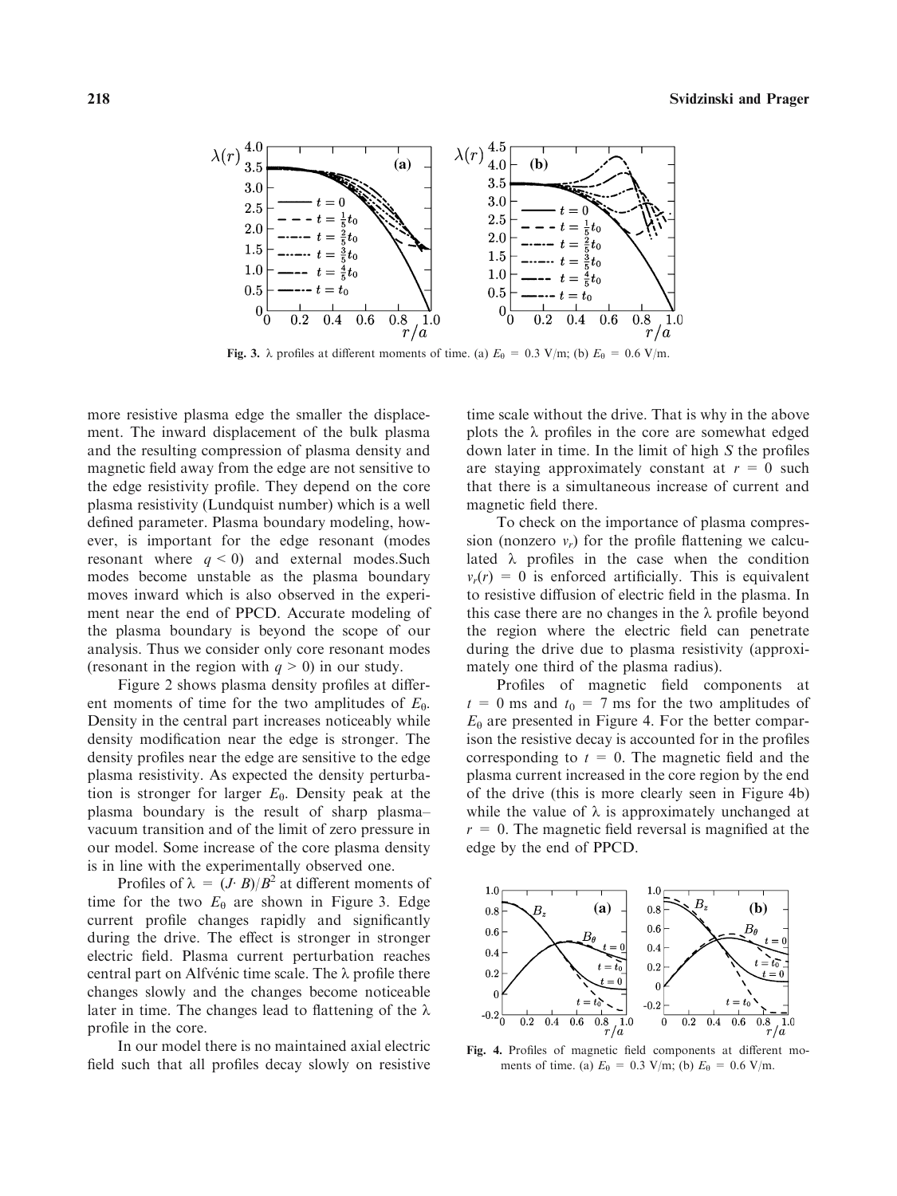

Fig. 3.  $\lambda$  profiles at different moments of time. (a)  $E_\theta = 0.3$  V/m; (b)  $E_\theta = 0.6$  V/m.

more resistive plasma edge the smaller the displacement. The inward displacement of the bulk plasma and the resulting compression of plasma density and magnetic field away from the edge are not sensitive to the edge resistivity profile. They depend on the core plasma resistivity (Lundquist number) which is a well defined parameter. Plasma boundary modeling, however, is important for the edge resonant (modes resonant where  $q \leq 0$ ) and external modes. Such modes become unstable as the plasma boundary moves inward which is also observed in the experiment near the end of PPCD. Accurate modeling of the plasma boundary is beyond the scope of our analysis. Thus we consider only core resonant modes (resonant in the region with  $q > 0$ ) in our study.

Figure 2 shows plasma density profiles at different moments of time for the two amplitudes of  $E_{\theta}$ . Density in the central part increases noticeably while density modification near the edge is stronger. The density profiles near the edge are sensitive to the edge plasma resistivity. As expected the density perturbation is stronger for larger  $E_{\theta}$ . Density peak at the plasma boundary is the result of sharp plasma– vacuum transition and of the limit of zero pressure in our model. Some increase of the core plasma density is in line with the experimentally observed one.

Profiles of  $\lambda = (J \cdot B)/B^2$  at different moments of time for the two  $E_\theta$  are shown in Figure 3. Edge current profile changes rapidly and significantly during the drive. The effect is stronger in stronger electric field. Plasma current perturbation reaches central part on Alfvénic time scale. The  $\lambda$  profile there changes slowly and the changes become noticeable later in time. The changes lead to flattening of the  $\lambda$ profile in the core.

In our model there is no maintained axial electric field such that all profiles decay slowly on resistive time scale without the drive. That is why in the above plots the  $\lambda$  profiles in the core are somewhat edged down later in time. In the limit of high  $S$  the profiles are staying approximately constant at  $r = 0$  such that there is a simultaneous increase of current and magnetic field there.

To check on the importance of plasma compression (nonzero  $v_r$ ) for the profile flattening we calculated  $\lambda$  profiles in the case when the condition  $v_r(r) = 0$  is enforced artificially. This is equivalent to resistive diffusion of electric field in the plasma. In this case there are no changes in the  $\lambda$  profile beyond the region where the electric field can penetrate during the drive due to plasma resistivity (approximately one third of the plasma radius).

Profiles of magnetic field components at  $t = 0$  ms and  $t_0 = 7$  ms for the two amplitudes of  $E_{\theta}$  are presented in Figure 4. For the better comparison the resistive decay is accounted for in the profiles corresponding to  $t = 0$ . The magnetic field and the plasma current increased in the core region by the end of the drive (this is more clearly seen in Figure 4b) while the value of  $\lambda$  is approximately unchanged at  $r = 0$ . The magnetic field reversal is magnified at the edge by the end of PPCD.



Fig. 4. Profiles of magnetic field components at different moments of time. (a)  $E_{\theta} = 0.3$  V/m; (b)  $E_{\theta} = 0.6$  V/m.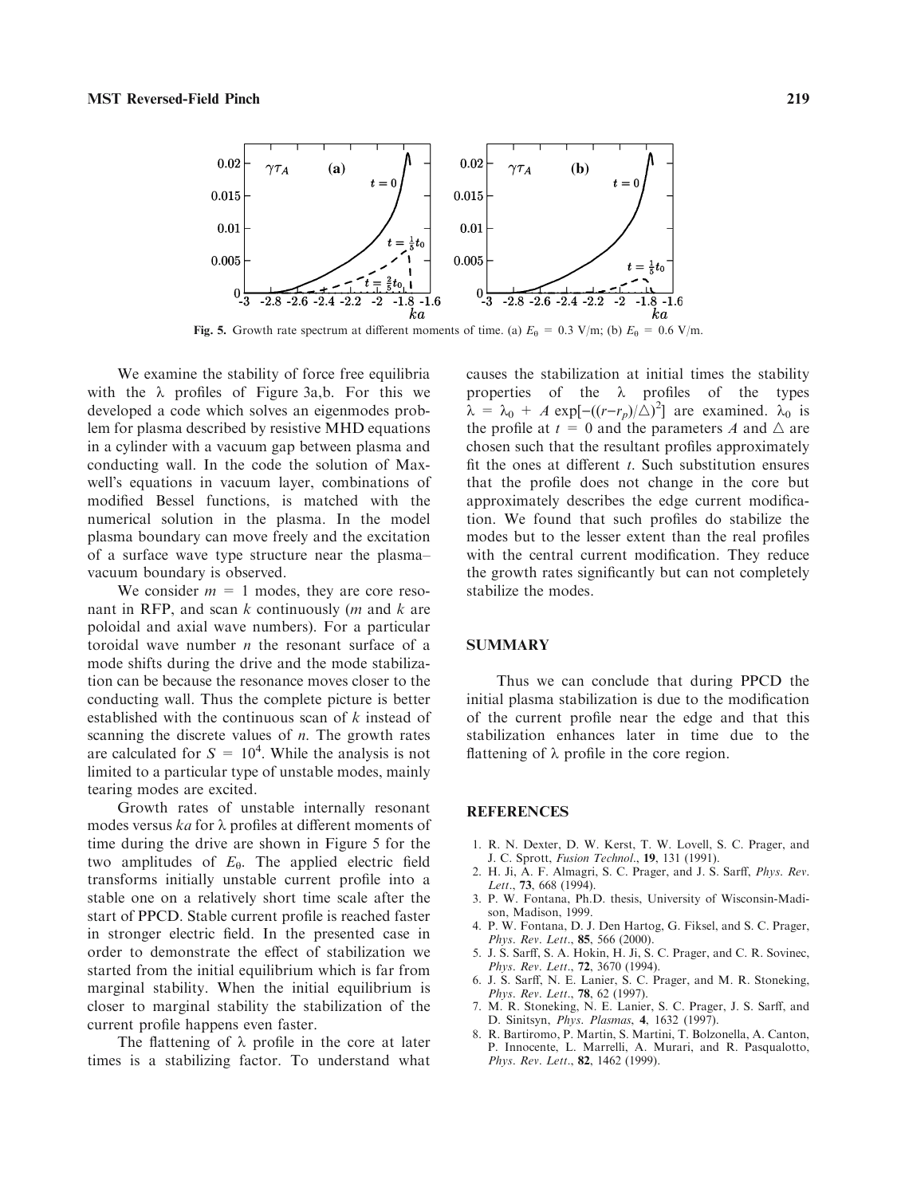

Fig. 5. Growth rate spectrum at different moments of time. (a)  $E_\theta = 0.3$  V/m; (b)  $E_\theta = 0.6$  V/m.

We examine the stability of force free equilibria with the  $\lambda$  profiles of Figure 3a,b. For this we developed a code which solves an eigenmodes problem for plasma described by resistive MHD equations in a cylinder with a vacuum gap between plasma and conducting wall. In the code the solution of Maxwell's equations in vacuum layer, combinations of modified Bessel functions, is matched with the numerical solution in the plasma. In the model plasma boundary can move freely and the excitation of a surface wave type structure near the plasma– vacuum boundary is observed.

We consider  $m = 1$  modes, they are core resonant in RFP, and scan  $k$  continuously (*m* and  $k$  are poloidal and axial wave numbers). For a particular toroidal wave number  $n$  the resonant surface of a mode shifts during the drive and the mode stabilization can be because the resonance moves closer to the conducting wall. Thus the complete picture is better established with the continuous scan of k instead of scanning the discrete values of  $n$ . The growth rates are calculated for  $S = 10^4$ . While the analysis is not limited to a particular type of unstable modes, mainly tearing modes are excited.

Growth rates of unstable internally resonant modes versus ka for  $\lambda$  profiles at different moments of time during the drive are shown in Figure 5 for the two amplitudes of  $E_{\theta}$ . The applied electric field transforms initially unstable current profile into a stable one on a relatively short time scale after the start of PPCD. Stable current profile is reached faster in stronger electric field. In the presented case in order to demonstrate the effect of stabilization we started from the initial equilibrium which is far from marginal stability. When the initial equilibrium is closer to marginal stability the stabilization of the current profile happens even faster.

The flattening of  $\lambda$  profile in the core at later times is a stabilizing factor. To understand what causes the stabilization at initial times the stability properties of the  $\lambda$  profiles of the types  $\hat{\lambda} = \lambda_0 + A \exp[-((r-r_p)/\hat{\Delta})^2]$  are examined.  $\lambda_0$  is the profile at  $t = 0$  and the parameters A and  $\triangle$  are chosen such that the resultant profiles approximately fit the ones at different  $t$ . Such substitution ensures that the profile does not change in the core but approximately describes the edge current modification. We found that such profiles do stabilize the modes but to the lesser extent than the real profiles with the central current modification. They reduce the growth rates significantly but can not completely stabilize the modes.

# **SUMMARY**

Thus we can conclude that during PPCD the initial plasma stabilization is due to the modification of the current profile near the edge and that this stabilization enhances later in time due to the flattening of  $\lambda$  profile in the core region.

# **REFERENCES**

- 1. R. N. Dexter, D. W. Kerst, T. W. Lovell, S. C. Prager, and J. C. Sprott, Fusion Technol., 19, 131 (1991).
- 2. H. Ji, A. F. Almagri, S. C. Prager, and J. S. Sarff, Phys. Rev. Lett., 73, 668 (1994).
- 3. P. W. Fontana, Ph.D. thesis, University of Wisconsin-Madison, Madison, 1999.
- 4. P. W. Fontana, D. J. Den Hartog, G. Fiksel, and S. C. Prager, Phys. Rev. Lett., 85, 566 (2000).
- 5. J. S. Sarff, S. A. Hokin, H. Ji, S. C. Prager, and C. R. Sovinec, Phys. Rev. Lett., 72, 3670 (1994).
- 6. J. S. Sarff, N. E. Lanier, S. C. Prager, and M. R. Stoneking, Phys. Rev. Lett., 78, 62 (1997).
- 7. M. R. Stoneking, N. E. Lanier, S. C. Prager, J. S. Sarff, and D. Sinitsyn, Phys. Plasmas, 4, 1632 (1997).
- 8. R. Bartiromo, P. Martin, S. Martini, T. Bolzonella, A. Canton, P. Innocente, L. Marrelli, A. Murari, and R. Pasqualotto, Phys. Rev. Lett., 82, 1462 (1999).